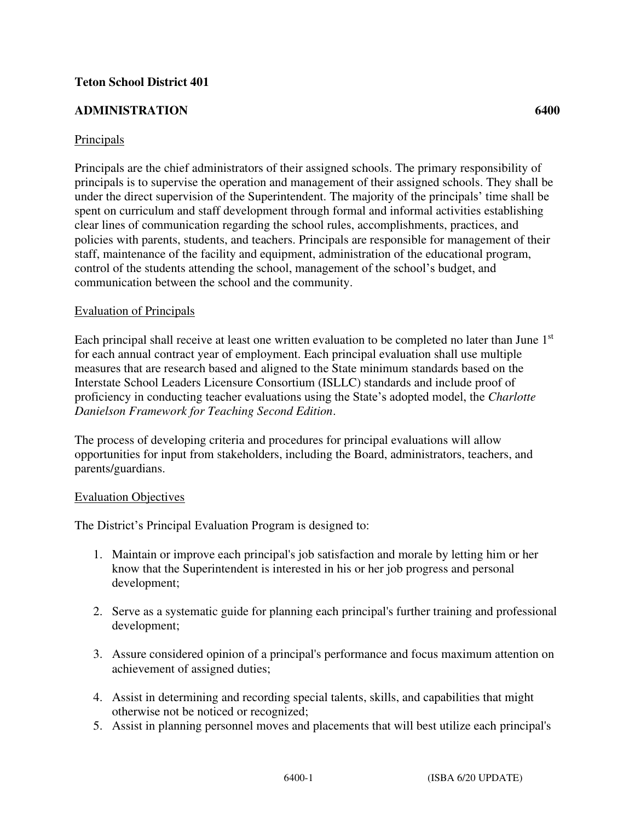## **Teton School District 401**

## **ADMINISTRATION 6400**

Principals are the chief administrators of their assigned schools. The primary responsibility of principals is to supervise the operation and management of their assigned schools. They shall be under the direct supervision of the Superintendent. The majority of the principals' time shall be spent on curriculum and staff development through formal and informal activities establishing clear lines of communication regarding the school rules, accomplishments, practices, and policies with parents, students, and teachers. Principals are responsible for management of their staff, maintenance of the facility and equipment, administration of the educational program, control of the students attending the school, management of the school's budget, and communication between the school and the community.

#### Evaluation of Principals

Each principal shall receive at least one written evaluation to be completed no later than June 1<sup>st</sup> for each annual contract year of employment. Each principal evaluation shall use multiple measures that are research based and aligned to the State minimum standards based on the Interstate School Leaders Licensure Consortium (ISLLC) standards and include proof of proficiency in conducting teacher evaluations using the State's adopted model, the *Charlotte Danielson Framework for Teaching Second Edition*.

The process of developing criteria and procedures for principal evaluations will allow opportunities for input from stakeholders, including the Board, administrators, teachers, and parents/guardians.

#### Evaluation Objectives

The District's Principal Evaluation Program is designed to:

- 1. Maintain or improve each principal's job satisfaction and morale by letting him or her know that the Superintendent is interested in his or her job progress and personal development;
- 2. Serve as a systematic guide for planning each principal's further training and professional development;
- 3. Assure considered opinion of a principal's performance and focus maximum attention on achievement of assigned duties;
- 4. Assist in determining and recording special talents, skills, and capabilities that might otherwise not be noticed or recognized;
- 5. Assist in planning personnel moves and placements that will best utilize each principal's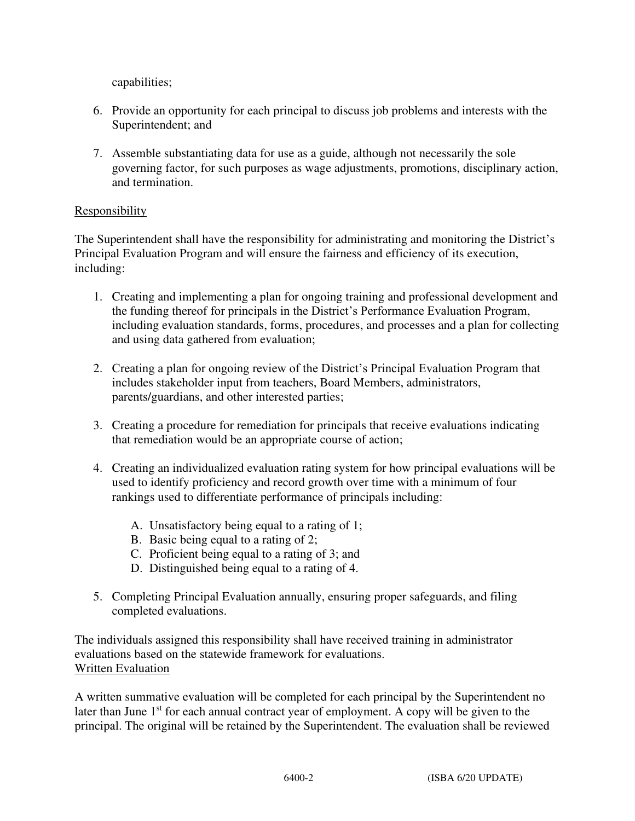capabilities;

- 6. Provide an opportunity for each principal to discuss job problems and interests with the Superintendent; and
- 7. Assemble substantiating data for use as a guide, although not necessarily the sole governing factor, for such purposes as wage adjustments, promotions, disciplinary action, and termination.

# Responsibility

The Superintendent shall have the responsibility for administrating and monitoring the District's Principal Evaluation Program and will ensure the fairness and efficiency of its execution, including:

- 1. Creating and implementing a plan for ongoing training and professional development and the funding thereof for principals in the District's Performance Evaluation Program, including evaluation standards, forms, procedures, and processes and a plan for collecting and using data gathered from evaluation;
- 2. Creating a plan for ongoing review of the District's Principal Evaluation Program that includes stakeholder input from teachers, Board Members, administrators, parents/guardians, and other interested parties;
- 3. Creating a procedure for remediation for principals that receive evaluations indicating that remediation would be an appropriate course of action;
- 4. Creating an individualized evaluation rating system for how principal evaluations will be used to identify proficiency and record growth over time with a minimum of four rankings used to differentiate performance of principals including:
	- A. Unsatisfactory being equal to a rating of 1;
	- B. Basic being equal to a rating of 2;
	- C. Proficient being equal to a rating of 3; and
	- D. Distinguished being equal to a rating of 4.
- 5. Completing Principal Evaluation annually, ensuring proper safeguards, and filing completed evaluations.

The individuals assigned this responsibility shall have received training in administrator evaluations based on the statewide framework for evaluations. Written Evaluation

A written summative evaluation will be completed for each principal by the Superintendent no later than June  $1<sup>st</sup>$  for each annual contract year of employment. A copy will be given to the principal. The original will be retained by the Superintendent. The evaluation shall be reviewed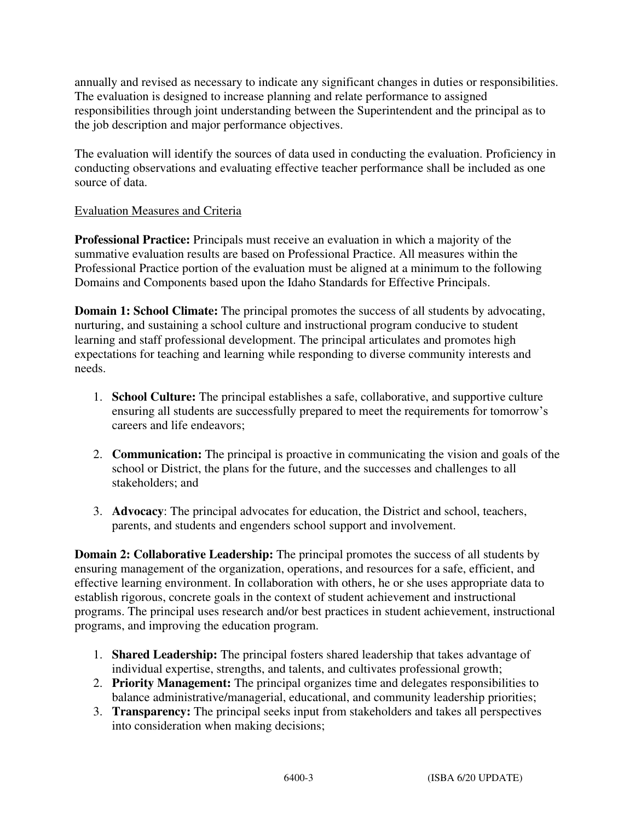annually and revised as necessary to indicate any significant changes in duties or responsibilities. The evaluation is designed to increase planning and relate performance to assigned responsibilities through joint understanding between the Superintendent and the principal as to the job description and major performance objectives.

The evaluation will identify the sources of data used in conducting the evaluation. Proficiency in conducting observations and evaluating effective teacher performance shall be included as one source of data.

# Evaluation Measures and Criteria

**Professional Practice:** Principals must receive an evaluation in which a majority of the summative evaluation results are based on Professional Practice. All measures within the Professional Practice portion of the evaluation must be aligned at a minimum to the following Domains and Components based upon the Idaho Standards for Effective Principals.

**Domain 1: School Climate:** The principal promotes the success of all students by advocating, nurturing, and sustaining a school culture and instructional program conducive to student learning and staff professional development. The principal articulates and promotes high expectations for teaching and learning while responding to diverse community interests and needs.

- 1. **School Culture:** The principal establishes a safe, collaborative, and supportive culture ensuring all students are successfully prepared to meet the requirements for tomorrow's careers and life endeavors;
- 2. **Communication:** The principal is proactive in communicating the vision and goals of the school or District, the plans for the future, and the successes and challenges to all stakeholders; and
- 3. **Advocacy**: The principal advocates for education, the District and school, teachers, parents, and students and engenders school support and involvement.

**Domain 2: Collaborative Leadership:** The principal promotes the success of all students by ensuring management of the organization, operations, and resources for a safe, efficient, and effective learning environment. In collaboration with others, he or she uses appropriate data to establish rigorous, concrete goals in the context of student achievement and instructional programs. The principal uses research and/or best practices in student achievement, instructional programs, and improving the education program.

- 1. **Shared Leadership:** The principal fosters shared leadership that takes advantage of individual expertise, strengths, and talents, and cultivates professional growth;
- 2. **Priority Management:** The principal organizes time and delegates responsibilities to balance administrative/managerial, educational, and community leadership priorities;
- 3. **Transparency:** The principal seeks input from stakeholders and takes all perspectives into consideration when making decisions;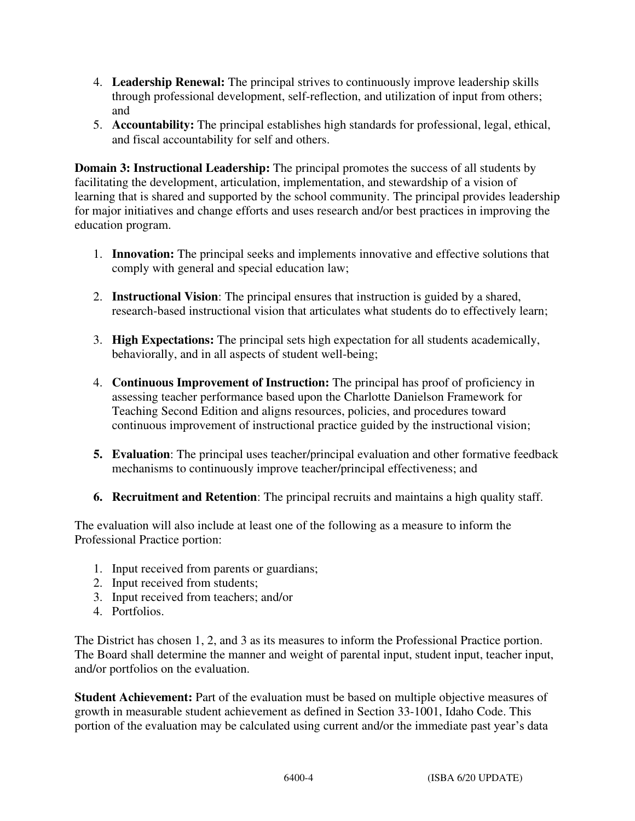- 4. **Leadership Renewal:** The principal strives to continuously improve leadership skills through professional development, self-reflection, and utilization of input from others; and
- 5. **Accountability:** The principal establishes high standards for professional, legal, ethical, and fiscal accountability for self and others.

**Domain 3: Instructional Leadership:** The principal promotes the success of all students by facilitating the development, articulation, implementation, and stewardship of a vision of learning that is shared and supported by the school community. The principal provides leadership for major initiatives and change efforts and uses research and/or best practices in improving the education program.

- 1. **Innovation:** The principal seeks and implements innovative and effective solutions that comply with general and special education law;
- 2. **Instructional Vision**: The principal ensures that instruction is guided by a shared, research-based instructional vision that articulates what students do to effectively learn;
- 3. **High Expectations:** The principal sets high expectation for all students academically, behaviorally, and in all aspects of student well-being;
- 4. **Continuous Improvement of Instruction:** The principal has proof of proficiency in assessing teacher performance based upon the Charlotte Danielson Framework for Teaching Second Edition and aligns resources, policies, and procedures toward continuous improvement of instructional practice guided by the instructional vision;
- **5. Evaluation**: The principal uses teacher/principal evaluation and other formative feedback mechanisms to continuously improve teacher/principal effectiveness; and
- **6. Recruitment and Retention**: The principal recruits and maintains a high quality staff.

The evaluation will also include at least one of the following as a measure to inform the Professional Practice portion:

- 1. Input received from parents or guardians;
- 2. Input received from students;
- 3. Input received from teachers; and/or
- 4. Portfolios.

The District has chosen 1, 2, and 3 as its measures to inform the Professional Practice portion. The Board shall determine the manner and weight of parental input, student input, teacher input, and/or portfolios on the evaluation.

**Student Achievement:** Part of the evaluation must be based on multiple objective measures of growth in measurable student achievement as defined in Section 33-1001, Idaho Code. This portion of the evaluation may be calculated using current and/or the immediate past year's data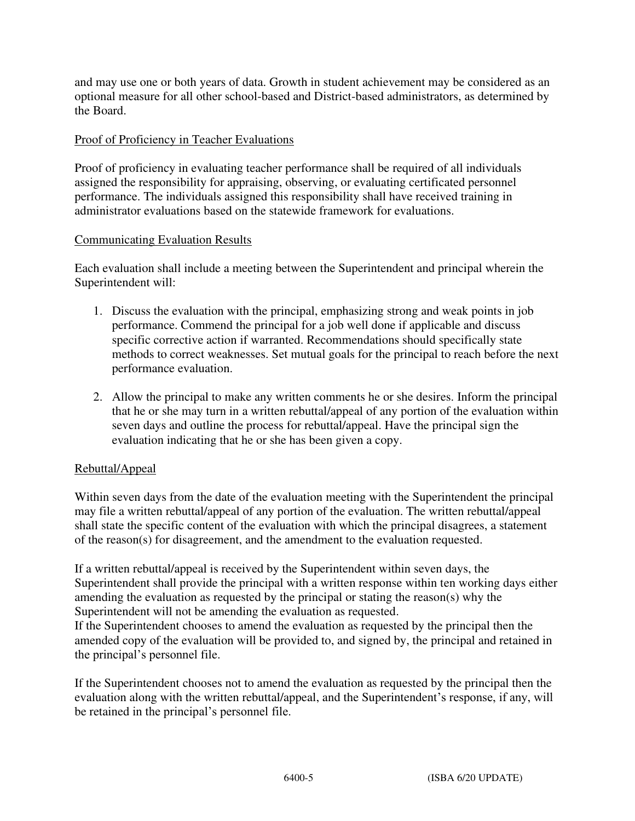and may use one or both years of data. Growth in student achievement may be considered as an optional measure for all other school-based and District-based administrators, as determined by the Board.

## Proof of Proficiency in Teacher Evaluations

Proof of proficiency in evaluating teacher performance shall be required of all individuals assigned the responsibility for appraising, observing, or evaluating certificated personnel performance. The individuals assigned this responsibility shall have received training in administrator evaluations based on the statewide framework for evaluations.

#### Communicating Evaluation Results

Each evaluation shall include a meeting between the Superintendent and principal wherein the Superintendent will:

- 1. Discuss the evaluation with the principal, emphasizing strong and weak points in job performance. Commend the principal for a job well done if applicable and discuss specific corrective action if warranted. Recommendations should specifically state methods to correct weaknesses. Set mutual goals for the principal to reach before the next performance evaluation.
- 2. Allow the principal to make any written comments he or she desires. Inform the principal that he or she may turn in a written rebuttal/appeal of any portion of the evaluation within seven days and outline the process for rebuttal/appeal. Have the principal sign the evaluation indicating that he or she has been given a copy.

# Rebuttal/Appeal

Within seven days from the date of the evaluation meeting with the Superintendent the principal may file a written rebuttal/appeal of any portion of the evaluation. The written rebuttal/appeal shall state the specific content of the evaluation with which the principal disagrees, a statement of the reason(s) for disagreement, and the amendment to the evaluation requested.

If a written rebuttal/appeal is received by the Superintendent within seven days, the Superintendent shall provide the principal with a written response within ten working days either amending the evaluation as requested by the principal or stating the reason(s) why the Superintendent will not be amending the evaluation as requested.

If the Superintendent chooses to amend the evaluation as requested by the principal then the amended copy of the evaluation will be provided to, and signed by, the principal and retained in the principal's personnel file.

If the Superintendent chooses not to amend the evaluation as requested by the principal then the evaluation along with the written rebuttal/appeal, and the Superintendent's response, if any, will be retained in the principal's personnel file.